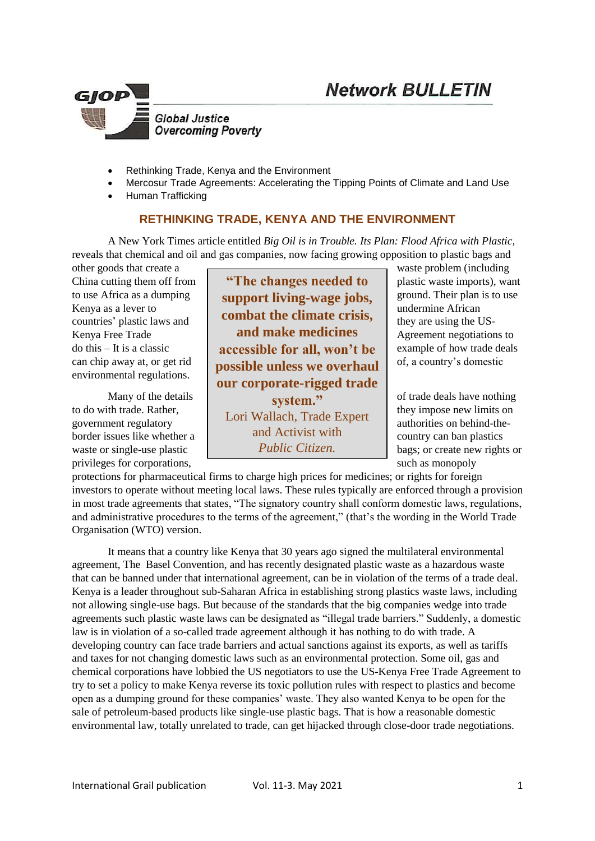



- Rethinking Trade, Kenya and the Environment
- Mercosur Trade Agreements: Accelerating the Tipping Points of Climate and Land Use
- Human Trafficking

## **RETHINKING TRADE, KENYA AND THE ENVIRONMENT**

A New York Times article entitled *Big Oil is in Trouble. Its Plan: Flood Africa with Plastic,*  reveals that chemical and oil and gas companies, now facing growing opposition to plastic bags and

other goods that create a waste problem (including environmental regulations.

privileges for corporations, such as monopoly

China cutting them off from **Fig. 4 The changes needed to** plastic waste imports), want to use Africa as a dumping **support living-wage jobs,** ground. Their plan is to use Kenya as a lever to **combat the climate crisis,** undermine African undermine and **combat the climate crisis,** countries' plastic laws and they are using the US-Kenya Free Trade **Agreement negotiations to**  $\blacksquare$  Agreement negotiations to do this – It is a classic **accessible for all, won't be**  $\alpha$  example of how trade deals can chip away at, or get rid **possible unless we overhaul** of, a country's domestic Many of the details  $\left| \right|$  of trade deals have nothing to do with trade. Rather, they impose new limits on government regulatory **and** LOTT Wallactic authorities on behind-theborder issues like whether a country can ban plastics waste or single-use plastic  $Public \, Citizen$  bags; or create new rights or **and make medicines our corporate-rigged trade system."** Lori Wallach, Trade Expert and Activist with *Public Citizen.*

protections for pharmaceutical firms to charge high prices for medicines; or rights for foreign investors to operate without meeting local laws. These rules typically are enforced through a provision in most trade agreements that states, "The signatory country shall conform domestic laws, regulations, and administrative procedures to the terms of the agreement," (that's the wording in the World Trade Organisation (WTO) version.

It means that a country like Kenya that 30 years ago signed the multilateral environmental agreement, The Basel Convention, and has recently designated plastic waste as a hazardous waste that can be banned under that international agreement, can be in violation of the terms of a trade deal. Kenya is a leader throughout sub-Saharan Africa in establishing strong plastics waste laws, including not allowing single-use bags. But because of the standards that the big companies wedge into trade agreements such plastic waste laws can be designated as "illegal trade barriers." Suddenly, a domestic law is in violation of a so-called trade agreement although it has nothing to do with trade. A developing country can face trade barriers and actual sanctions against its exports, as well as tariffs and taxes for not changing domestic laws such as an environmental protection. Some oil, gas and chemical corporations have lobbied the US negotiators to use the US-Kenya Free Trade Agreement to try to set a policy to make Kenya reverse its toxic pollution rules with respect to plastics and become open as a dumping ground for these companies' waste. They also wanted Kenya to be open for the sale of petroleum-based products like single-use plastic bags. That is how a reasonable domestic environmental law, totally unrelated to trade, can get hijacked through close-door trade negotiations.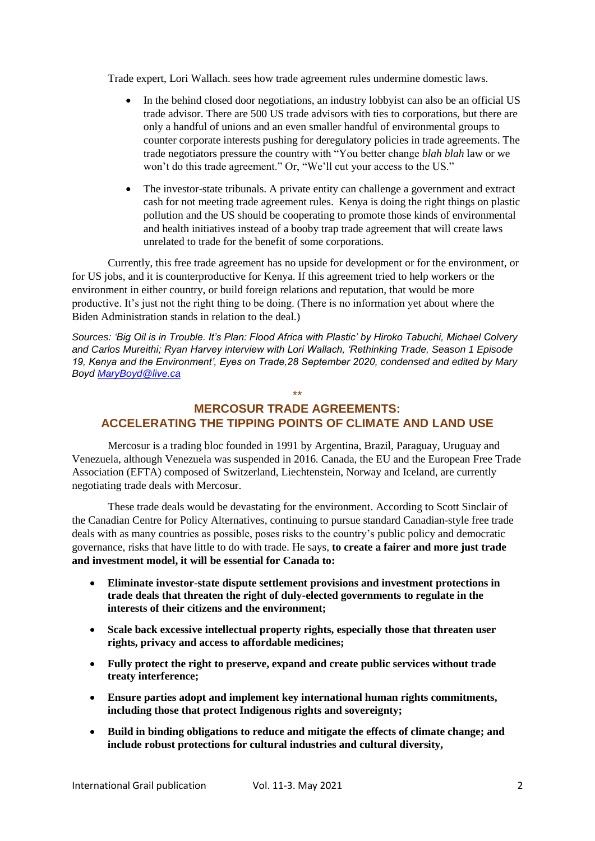Trade expert, Lori Wallach. sees how trade agreement rules undermine domestic laws.

- In the behind closed door negotiations, an industry lobbyist can also be an official US trade advisor. There are 500 US trade advisors with ties to corporations, but there are only a handful of unions and an even smaller handful of environmental groups to counter corporate interests pushing for deregulatory policies in trade agreements. The trade negotiators pressure the country with "You better change *blah blah* law or we won't do this trade agreement." Or, "We'll cut your access to the US."
- The investor-state tribunals. A private entity can challenge a government and extract cash for not meeting trade agreement rules. Kenya is doing the right things on plastic pollution and the US should be cooperating to promote those kinds of environmental and health initiatives instead of a booby trap trade agreement that will create laws unrelated to trade for the benefit of some corporations.

Currently, this free trade agreement has no upside for development or for the environment, or for US jobs, and it is counterproductive for Kenya. If this agreement tried to help workers or the environment in either country, or build foreign relations and reputation, that would be more productive. It's just not the right thing to be doing. (There is no information yet about where the Biden Administration stands in relation to the deal.)

*Sources: 'Big Oil is in Trouble. It's Plan: Flood Africa with Plastic' by Hiroko Tabuchi, Michael Colvery and Carlos Mureithi; Ryan Harvey interview with Lori Wallach, 'Rethinking Trade, Season 1 Episode 19, Kenya and the Environment', Eyes on Trade,28 September 2020, condensed and edited by Mary Boyd [MaryBoyd@live.ca](mailto:MaryBoyd@live.ca)* 

# **MERCOSUR TRADE AGREEMENTS: ACCELERATING THE TIPPING POINTS OF CLIMATE AND LAND USE**

\*\*

Mercosur is a trading bloc founded in 1991 by Argentina, Brazil, Paraguay, Uruguay and Venezuela, although Venezuela was suspended in 2016. Canada, the EU and the European Free Trade Association (EFTA) composed of Switzerland, Liechtenstein, Norway and Iceland, are currently negotiating trade deals with Mercosur.

These trade deals would be devastating for the environment. According to Scott Sinclair of the Canadian Centre for Policy Alternatives, continuing to pursue standard Canadian-style free trade deals with as many countries as possible, poses risks to the country's public policy and democratic governance, risks that have little to do with trade. He says, **to create a fairer and more just trade and investment model, it will be essential for Canada to:**

- **Eliminate investor-state dispute settlement provisions and investment protections in trade deals that threaten the right of duly-elected governments to regulate in the interests of their citizens and the environment;**
- **Scale back excessive intellectual property rights, especially those that threaten user rights, privacy and access to affordable medicines;**
- **Fully protect the right to preserve, expand and create public services without trade treaty interference;**
- **Ensure parties adopt and implement key international human rights commitments, including those that protect Indigenous rights and sovereignty;**
- **Build in binding obligations to reduce and mitigate the effects of climate change; and include robust protections for cultural industries and cultural diversity,**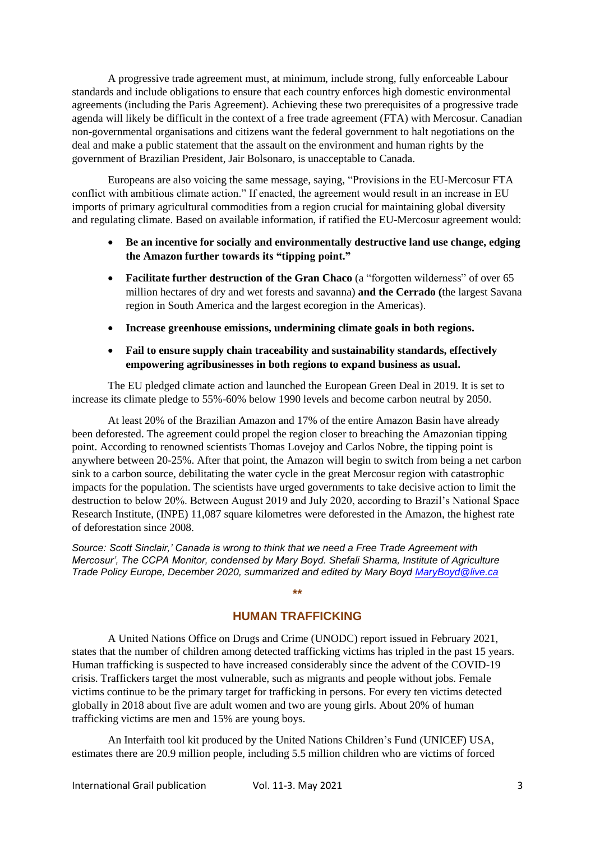A progressive trade agreement must, at minimum, include strong, fully enforceable Labour standards and include obligations to ensure that each country enforces high domestic environmental agreements (including the Paris Agreement). Achieving these two prerequisites of a progressive trade agenda will likely be difficult in the context of a free trade agreement (FTA) with Mercosur. Canadian non-governmental organisations and citizens want the federal government to halt negotiations on the deal and make a public statement that the assault on the environment and human rights by the government of Brazilian President, Jair Bolsonaro, is unacceptable to Canada.

Europeans are also voicing the same message, saying, "Provisions in the EU-Mercosur FTA conflict with ambitious climate action." If enacted, the agreement would result in an increase in EU imports of primary agricultural commodities from a region crucial for maintaining global diversity and regulating climate. Based on available information, if ratified the EU-Mercosur agreement would:

- **Be an incentive for socially and environmentally destructive land use change, edging the Amazon further towards its "tipping point."**
- **•** Facilitate further destruction of the Gran Chaco (a "forgotten wilderness" of over 65 million hectares of dry and wet forests and savanna) **and the Cerrado (**the largest Savana region in South America and the largest ecoregion in the Americas).
- **Increase greenhouse emissions, undermining climate goals in both regions.**

### **Fail to ensure supply chain traceability and sustainability standards, effectively empowering agribusinesses in both regions to expand business as usual.**

The EU pledged climate action and launched the European Green Deal in 2019. It is set to increase its climate pledge to 55%-60% below 1990 levels and become carbon neutral by 2050.

At least 20% of the Brazilian Amazon and 17% of the entire Amazon Basin have already been deforested. The agreement could propel the region closer to breaching the Amazonian tipping point. According to renowned scientists Thomas Lovejoy and Carlos Nobre, the tipping point is anywhere between 20-25%. After that point, the Amazon will begin to switch from being a net carbon sink to a carbon source, debilitating the water cycle in the great Mercosur region with catastrophic impacts for the population. The scientists have urged governments to take decisive action to limit the destruction to below 20%. Between August 2019 and July 2020, according to Brazil's National Space Research Institute, (INPE) 11,087 square kilometres were deforested in the Amazon, the highest rate of deforestation since 2008.

*Source: Scott Sinclair,' Canada is wrong to think that we need a Free Trade Agreement with Mercosur', The CCPA Monitor, condensed by Mary Boyd. Shefali Sharma, Institute of Agriculture Trade Policy Europe, December 2020, summarized and edited by Mary Boyd [MaryBoyd@live.ca](mailto:MaryBoyd@live.ca)*

## **HUMAN TRAFFICKING**

**\*\***

A United Nations Office on Drugs and Crime (UNODC) report issued in February 2021, states that the number of children among detected trafficking victims has tripled in the past 15 years. Human trafficking is suspected to have increased considerably since the advent of the COVID-19 crisis. Traffickers target the most vulnerable, such as migrants and people without jobs. Female victims continue to be the primary target for trafficking in persons. For every ten victims detected globally in 2018 about five are adult women and two are young girls. About 20% of human trafficking victims are men and 15% are young boys.

An Interfaith tool kit produced by the United Nations Children's Fund (UNICEF) USA, estimates there are 20.9 million people, including 5.5 million children who are victims of forced